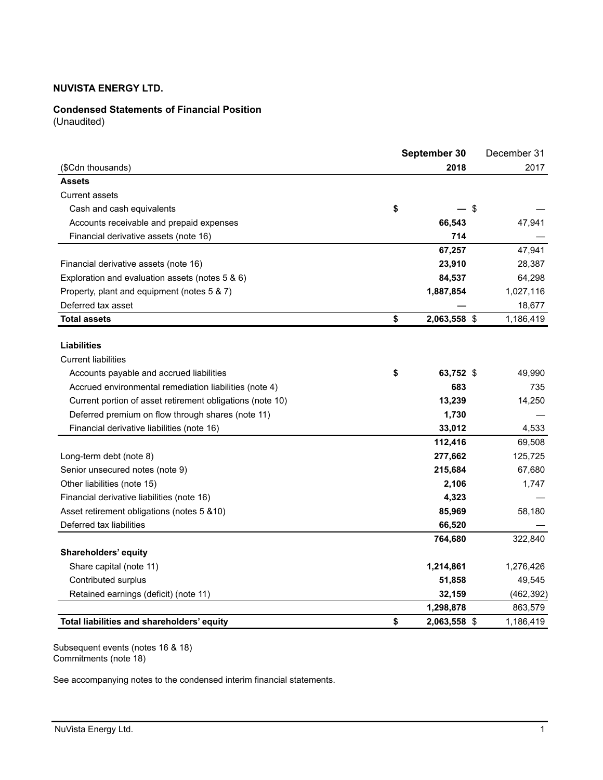## **Condensed Statements of Financial Position**

(Unaudited)

|                                                           | September 30       | December 31 |
|-----------------------------------------------------------|--------------------|-------------|
| (\$Cdn thousands)                                         | 2018               | 2017        |
| <b>Assets</b>                                             |                    |             |
| <b>Current assets</b>                                     |                    |             |
| Cash and cash equivalents                                 | \$                 | \$          |
| Accounts receivable and prepaid expenses                  | 66,543             | 47,941      |
| Financial derivative assets (note 16)                     | 714                |             |
|                                                           | 67,257             | 47,941      |
| Financial derivative assets (note 16)                     | 23,910             | 28,387      |
| Exploration and evaluation assets (notes 5 & 6)           | 84,537             | 64,298      |
| Property, plant and equipment (notes 5 & 7)               | 1,887,854          | 1,027,116   |
| Deferred tax asset                                        |                    | 18,677      |
| <b>Total assets</b>                                       | \$<br>2,063,558 \$ | 1,186,419   |
|                                                           |                    |             |
| <b>Liabilities</b>                                        |                    |             |
| <b>Current liabilities</b>                                |                    |             |
| Accounts payable and accrued liabilities                  | \$<br>63,752 \$    | 49,990      |
| Accrued environmental remediation liabilities (note 4)    | 683                | 735         |
| Current portion of asset retirement obligations (note 10) | 13,239             | 14,250      |
| Deferred premium on flow through shares (note 11)         | 1,730              |             |
| Financial derivative liabilities (note 16)                | 33,012             | 4,533       |
|                                                           | 112,416            | 69,508      |
| Long-term debt (note 8)                                   | 277,662            | 125,725     |
| Senior unsecured notes (note 9)                           | 215,684            | 67,680      |
| Other liabilities (note 15)                               | 2,106              | 1,747       |
| Financial derivative liabilities (note 16)                | 4,323              |             |
| Asset retirement obligations (notes 5 & 10)               | 85,969             | 58,180      |
| Deferred tax liabilities                                  | 66,520             |             |
|                                                           | 764,680            | 322,840     |
| Shareholders' equity                                      |                    |             |
| Share capital (note 11)                                   | 1,214,861          | 1,276,426   |
| Contributed surplus                                       | 51,858             | 49,545      |
| Retained earnings (deficit) (note 11)                     | 32,159             | (462, 392)  |
|                                                           | 1,298,878          | 863,579     |
| Total liabilities and shareholders' equity                | \$<br>2,063,558 \$ | 1,186,419   |

Subsequent events (notes 16 & 18) Commitments (note 18)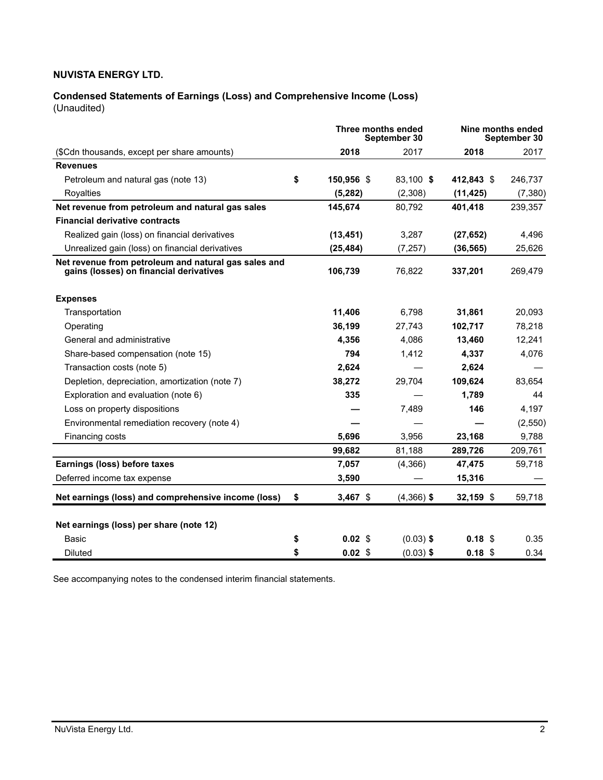#### **Condensed Statements of Earnings (Loss) and Comprehensive Income (Loss)** (Unaudited)

|                                                                                                 | Three months ended       | September 30 | Nine months ended | September 30 |
|-------------------------------------------------------------------------------------------------|--------------------------|--------------|-------------------|--------------|
| (\$Cdn thousands, except per share amounts)                                                     | 2018                     | 2017         | 2018              | 2017         |
| <b>Revenues</b>                                                                                 |                          |              |                   |              |
| Petroleum and natural gas (note 13)                                                             | \$<br>150,956 \$         | 83,100 \$    | 412,843 \$        | 246,737      |
| <b>Royalties</b>                                                                                | (5, 282)                 | (2,308)      | (11, 425)         | (7, 380)     |
| Net revenue from petroleum and natural gas sales                                                | 145,674                  | 80,792       | 401,418           | 239,357      |
| <b>Financial derivative contracts</b>                                                           |                          |              |                   |              |
| Realized gain (loss) on financial derivatives                                                   | (13, 451)                | 3,287        | (27, 652)         | 4,496        |
| Unrealized gain (loss) on financial derivatives                                                 | (25, 484)                | (7, 257)     | (36, 565)         | 25,626       |
| Net revenue from petroleum and natural gas sales and<br>gains (losses) on financial derivatives | 106,739                  | 76,822       | 337,201           | 269,479      |
| <b>Expenses</b>                                                                                 |                          |              |                   |              |
| Transportation                                                                                  | 11.406                   | 6.798        | 31.861            | 20.093       |
| Operating                                                                                       | 36,199                   | 27.743       | 102.717           | 78,218       |
| General and administrative                                                                      | 4,356                    | 4,086        | 13,460            | 12,241       |
| Share-based compensation (note 15)                                                              | 794                      | 1,412        | 4,337             | 4,076        |
| Transaction costs (note 5)                                                                      | 2,624                    |              | 2,624             |              |
| Depletion, depreciation, amortization (note 7)                                                  | 38,272                   | 29,704       | 109,624           | 83,654       |
| Exploration and evaluation (note 6)                                                             | 335                      |              | 1,789             | 44           |
| Loss on property dispositions                                                                   |                          | 7,489        | 146               | 4,197        |
| Environmental remediation recovery (note 4)                                                     |                          |              |                   | (2,550)      |
| Financing costs                                                                                 | 5.696                    | 3.956        | 23,168            | 9,788        |
|                                                                                                 | 99,682                   | 81,188       | 289,726           | 209,761      |
| Earnings (loss) before taxes                                                                    | 7,057                    | (4,366)      | 47,475            | 59,718       |
| Deferred income tax expense                                                                     | 3,590                    |              | 15,316            |              |
| Net earnings (loss) and comprehensive income (loss)                                             | \$<br>$3,467$ \$         | $(4,366)$ \$ | $32,159$ \$       | 59,718       |
| Net earnings (loss) per share (note 12)                                                         |                          |              |                   |              |
| Basic                                                                                           | \$<br>$0.02 \text{ }$ \$ | $(0.03)$ \$  | 0.18 S            | 0.35         |
| <b>Diluted</b>                                                                                  | \$<br>$0.02$ \$          | $(0.03)$ \$  | 0.18 <sup>5</sup> | 0.34         |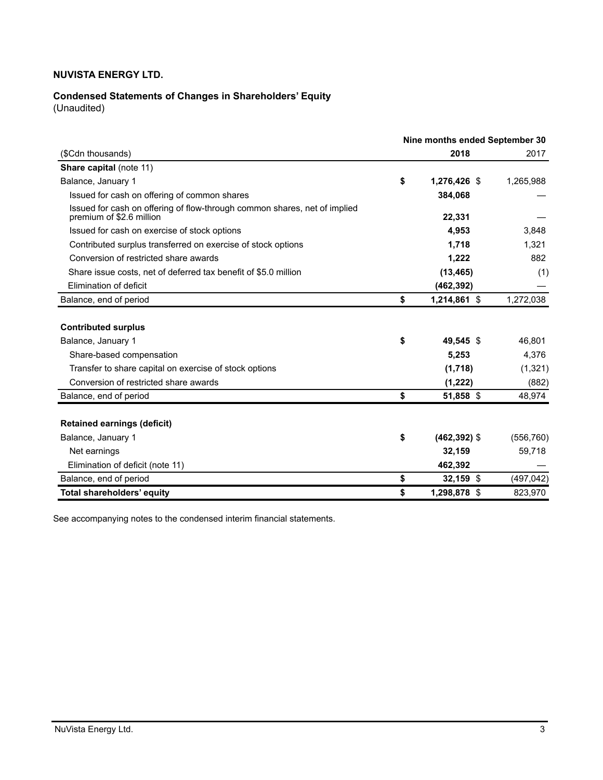# **Condensed Statements of Changes in Shareholders' Equity**

(Unaudited)

|                                                                                                       | Nine months ended September 30 |            |  |  |  |
|-------------------------------------------------------------------------------------------------------|--------------------------------|------------|--|--|--|
| (\$Cdn thousands)                                                                                     | 2018                           | 2017       |  |  |  |
| <b>Share capital (note 11)</b>                                                                        |                                |            |  |  |  |
| Balance, January 1                                                                                    | \$<br>1,276,426 \$             | 1,265,988  |  |  |  |
| Issued for cash on offering of common shares                                                          | 384,068                        |            |  |  |  |
| Issued for cash on offering of flow-through common shares, net of implied<br>premium of \$2.6 million | 22,331                         |            |  |  |  |
| Issued for cash on exercise of stock options                                                          | 4,953                          | 3,848      |  |  |  |
| Contributed surplus transferred on exercise of stock options                                          | 1,718                          | 1,321      |  |  |  |
| Conversion of restricted share awards                                                                 | 1,222                          | 882        |  |  |  |
| Share issue costs, net of deferred tax benefit of \$5.0 million                                       | (13, 465)                      | (1)        |  |  |  |
| Elimination of deficit                                                                                | (462, 392)                     |            |  |  |  |
| Balance, end of period                                                                                | \$<br>1,214,861 \$             | 1,272,038  |  |  |  |
| <b>Contributed surplus</b>                                                                            |                                |            |  |  |  |
| Balance, January 1                                                                                    | \$<br>49,545 \$                | 46,801     |  |  |  |
| Share-based compensation                                                                              | 5,253                          | 4,376      |  |  |  |
| Transfer to share capital on exercise of stock options                                                | (1,718)                        | (1, 321)   |  |  |  |
| Conversion of restricted share awards                                                                 | (1, 222)                       | (882)      |  |  |  |
| Balance, end of period                                                                                | \$<br>51,858 \$                | 48,974     |  |  |  |
| <b>Retained earnings (deficit)</b>                                                                    |                                |            |  |  |  |
| Balance, January 1                                                                                    | \$<br>$(462, 392)$ \$          | (556, 760) |  |  |  |
| Net earnings                                                                                          | 32,159                         | 59,718     |  |  |  |
| Elimination of deficit (note 11)                                                                      | 462,392                        |            |  |  |  |
| Balance, end of period                                                                                | \$<br>$32,159$ \$              | (497, 042) |  |  |  |
| Total shareholders' equity                                                                            | \$<br>1,298,878 \$             | 823,970    |  |  |  |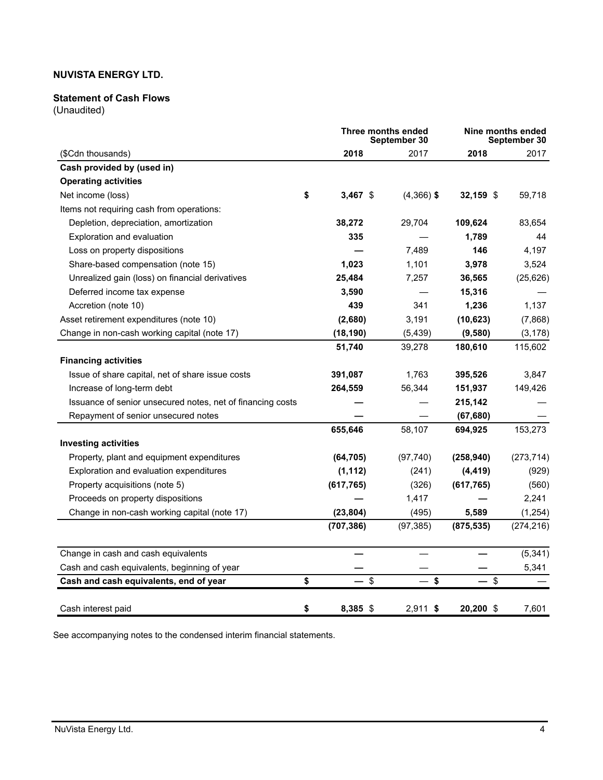# **Statement of Cash Flows**

(Unaudited)

|                                                            | Three months ended<br>September 30 |            | Nine months ended<br>September 30 |            |            |  |
|------------------------------------------------------------|------------------------------------|------------|-----------------------------------|------------|------------|--|
| (\$Cdn thousands)                                          | 2018                               |            | 2017                              | 2018       | 2017       |  |
| Cash provided by (used in)                                 |                                    |            |                                   |            |            |  |
| <b>Operating activities</b>                                |                                    |            |                                   |            |            |  |
| Net income (loss)                                          | \$<br>$3,467$ \$                   |            | $(4,366)$ \$                      | 32,159 \$  | 59,718     |  |
| Items not requiring cash from operations:                  |                                    |            |                                   |            |            |  |
| Depletion, depreciation, amortization                      | 38,272                             |            | 29,704                            | 109,624    | 83,654     |  |
| Exploration and evaluation                                 | 335                                |            |                                   | 1,789      | 44         |  |
| Loss on property dispositions                              |                                    |            | 7,489                             | 146        | 4,197      |  |
| Share-based compensation (note 15)                         | 1,023                              |            | 1,101                             | 3,978      | 3,524      |  |
| Unrealized gain (loss) on financial derivatives            | 25,484                             |            | 7,257                             | 36,565     | (25, 626)  |  |
| Deferred income tax expense                                | 3,590                              |            |                                   | 15,316     |            |  |
| Accretion (note 10)                                        | 439                                |            | 341                               | 1,236      | 1,137      |  |
| Asset retirement expenditures (note 10)                    | (2,680)                            |            | 3,191                             | (10, 623)  | (7,868)    |  |
| Change in non-cash working capital (note 17)               | (18, 190)                          |            | (5, 439)                          | (9,580)    | (3, 178)   |  |
|                                                            | 51,740                             |            | 39,278                            | 180,610    | 115,602    |  |
| <b>Financing activities</b>                                |                                    |            |                                   |            |            |  |
| Issue of share capital, net of share issue costs           | 391,087                            |            | 1,763                             | 395,526    | 3,847      |  |
| Increase of long-term debt                                 | 264,559                            |            | 56,344                            | 151,937    | 149,426    |  |
| Issuance of senior unsecured notes, net of financing costs |                                    |            |                                   | 215,142    |            |  |
| Repayment of senior unsecured notes                        |                                    |            |                                   | (67, 680)  |            |  |
|                                                            | 655,646                            |            | 58,107                            | 694,925    | 153,273    |  |
| <b>Investing activities</b>                                |                                    |            |                                   |            |            |  |
| Property, plant and equipment expenditures                 | (64, 705)                          |            | (97, 740)                         | (258, 940) | (273, 714) |  |
| Exploration and evaluation expenditures                    | (1, 112)                           |            | (241)                             | (4, 419)   | (929)      |  |
| Property acquisitions (note 5)                             | (617, 765)                         |            | (326)                             | (617, 765) | (560)      |  |
| Proceeds on property dispositions                          |                                    |            | 1,417                             |            | 2,241      |  |
| Change in non-cash working capital (note 17)               | (23, 804)                          |            | (495)                             | 5,589      | (1, 254)   |  |
|                                                            | (707, 386)                         |            | (97, 385)                         | (875, 535) | (274, 216) |  |
| Change in cash and cash equivalents                        |                                    |            |                                   |            | (5, 341)   |  |
| Cash and cash equivalents, beginning of year               |                                    |            |                                   |            | 5,341      |  |
| Cash and cash equivalents, end of year                     | \$<br>$\overline{\phantom{0}}$     | $\sqrt{3}$ | \$                                | $-$ \$     |            |  |
| Cash interest paid                                         | \$<br>8,385 \$                     |            | $2,911$ \$                        | 20,200 \$  | 7,601      |  |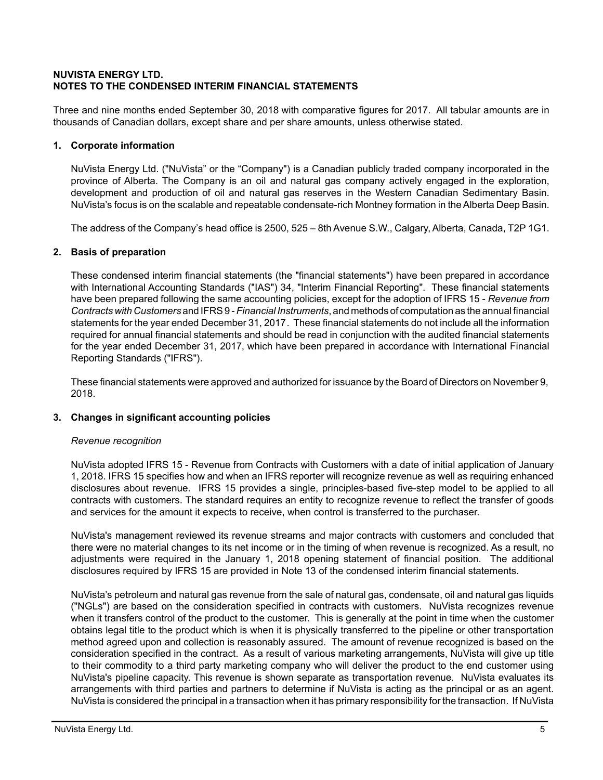## **NUVISTA ENERGY LTD. NOTES TO THE CONDENSED INTERIM FINANCIAL STATEMENTS**

Three and nine months ended September 30, 2018 with comparative figures for 2017. All tabular amounts are in thousands of Canadian dollars, except share and per share amounts, unless otherwise stated.

# **1. Corporate information**

NuVista Energy Ltd. ("NuVista" or the "Company") is a Canadian publicly traded company incorporated in the province of Alberta. The Company is an oil and natural gas company actively engaged in the exploration, development and production of oil and natural gas reserves in the Western Canadian Sedimentary Basin. NuVista's focus is on the scalable and repeatable condensate-rich Montney formation in the Alberta Deep Basin.

The address of the Company's head office is 2500, 525 – 8th Avenue S.W., Calgary, Alberta, Canada, T2P 1G1.

# **2. Basis of preparation**

These condensed interim financial statements (the "financial statements") have been prepared in accordance with International Accounting Standards ("IAS") 34, "Interim Financial Reporting". These financial statements have been prepared following the same accounting policies, except for the adoption of IFRS 15 - *Revenue from Contracts with Customers* and IFRS 9 - *Financial Instruments*, and methods of computation as the annual financial statements for the year ended December 31, 2017. These financial statements do not include all the information required for annual financial statements and should be read in conjunction with the audited financial statements for the year ended December 31, 2017, which have been prepared in accordance with International Financial Reporting Standards ("IFRS").

These financial statements were approved and authorized for issuance by the Board of Directors on November 9, 2018.

## **3. Changes in significant accounting policies**

## *Revenue recognition*

NuVista adopted IFRS 15 - Revenue from Contracts with Customers with a date of initial application of January 1, 2018. IFRS 15 specifies how and when an IFRS reporter will recognize revenue as well as requiring enhanced disclosures about revenue. IFRS 15 provides a single, principles-based five-step model to be applied to all contracts with customers. The standard requires an entity to recognize revenue to reflect the transfer of goods and services for the amount it expects to receive, when control is transferred to the purchaser.

NuVista's management reviewed its revenue streams and major contracts with customers and concluded that there were no material changes to its net income or in the timing of when revenue is recognized. As a result, no adjustments were required in the January 1, 2018 opening statement of financial position. The additional disclosures required by IFRS 15 are provided in Note 13 of the condensed interim financial statements.

NuVista's petroleum and natural gas revenue from the sale of natural gas, condensate, oil and natural gas liquids ("NGLs") are based on the consideration specified in contracts with customers. NuVista recognizes revenue when it transfers control of the product to the customer. This is generally at the point in time when the customer obtains legal title to the product which is when it is physically transferred to the pipeline or other transportation method agreed upon and collection is reasonably assured. The amount of revenue recognized is based on the consideration specified in the contract. As a result of various marketing arrangements, NuVista will give up title to their commodity to a third party marketing company who will deliver the product to the end customer using NuVista's pipeline capacity. This revenue is shown separate as transportation revenue*.* NuVista evaluates its arrangements with third parties and partners to determine if NuVista is acting as the principal or as an agent. NuVista is considered the principal in a transaction when it has primary responsibility for the transaction. If NuVista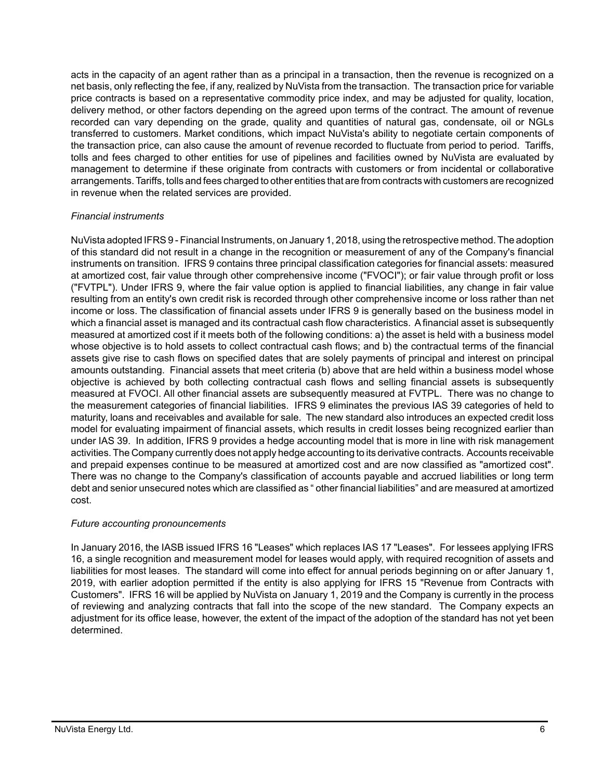acts in the capacity of an agent rather than as a principal in a transaction, then the revenue is recognized on a net basis, only reflecting the fee, if any, realized by NuVista from the transaction. The transaction price for variable price contracts is based on a representative commodity price index, and may be adjusted for quality, location, delivery method, or other factors depending on the agreed upon terms of the contract. The amount of revenue recorded can vary depending on the grade, quality and quantities of natural gas, condensate, oil or NGLs transferred to customers. Market conditions, which impact NuVista's ability to negotiate certain components of the transaction price, can also cause the amount of revenue recorded to fluctuate from period to period. Tariffs, tolls and fees charged to other entities for use of pipelines and facilities owned by NuVista are evaluated by management to determine if these originate from contracts with customers or from incidental or collaborative arrangements. Tariffs, tolls and fees charged to other entities that are from contracts with customers are recognized in revenue when the related services are provided.

## *Financial instruments*

NuVista adopted IFRS 9 - Financial Instruments, on January 1, 2018, using the retrospective method. The adoption of this standard did not result in a change in the recognition or measurement of any of the Company's financial instruments on transition. IFRS 9 contains three principal classification categories for financial assets: measured at amortized cost, fair value through other comprehensive income ("FVOCI"); or fair value through profit or loss ("FVTPL"). Under IFRS 9, where the fair value option is applied to financial liabilities, any change in fair value resulting from an entity's own credit risk is recorded through other comprehensive income or loss rather than net income or loss. The classification of financial assets under IFRS 9 is generally based on the business model in which a financial asset is managed and its contractual cash flow characteristics. A financial asset is subsequently measured at amortized cost if it meets both of the following conditions: a) the asset is held with a business model whose objective is to hold assets to collect contractual cash flows; and b) the contractual terms of the financial assets give rise to cash flows on specified dates that are solely payments of principal and interest on principal amounts outstanding. Financial assets that meet criteria (b) above that are held within a business model whose objective is achieved by both collecting contractual cash flows and selling financial assets is subsequently measured at FVOCI. All other financial assets are subsequently measured at FVTPL. There was no change to the measurement categories of financial liabilities. IFRS 9 eliminates the previous IAS 39 categories of held to maturity, loans and receivables and available for sale. The new standard also introduces an expected credit loss model for evaluating impairment of financial assets, which results in credit losses being recognized earlier than under IAS 39. In addition, IFRS 9 provides a hedge accounting model that is more in line with risk management activities. The Company currently does not apply hedge accounting to its derivative contracts. Accounts receivable and prepaid expenses continue to be measured at amortized cost and are now classified as "amortized cost". There was no change to the Company's classification of accounts payable and accrued liabilities or long term debt and senior unsecured notes which are classified as " other financial liabilities" and are measured at amortized cost.

#### *Future accounting pronouncements*

In January 2016, the IASB issued IFRS 16 "Leases" which replaces IAS 17 "Leases". For lessees applying IFRS 16, a single recognition and measurement model for leases would apply, with required recognition of assets and liabilities for most leases. The standard will come into effect for annual periods beginning on or after January 1, 2019, with earlier adoption permitted if the entity is also applying for IFRS 15 "Revenue from Contracts with Customers". IFRS 16 will be applied by NuVista on January 1, 2019 and the Company is currently in the process of reviewing and analyzing contracts that fall into the scope of the new standard. The Company expects an adjustment for its office lease, however, the extent of the impact of the adoption of the standard has not yet been determined.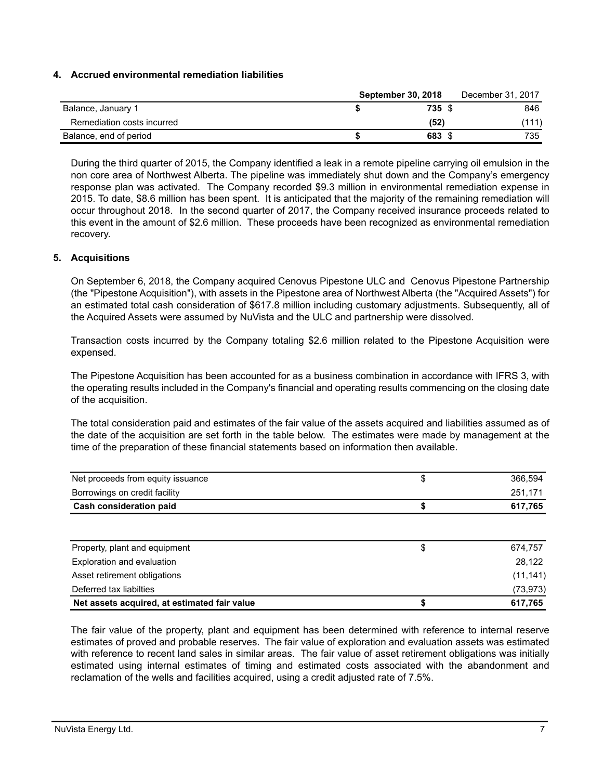## **4. Accrued environmental remediation liabilities**

|                            | <b>September 30, 2018</b> | December 31, 2017 |       |
|----------------------------|---------------------------|-------------------|-------|
| Balance, January 1         |                           | 735 \$            | 846   |
| Remediation costs incurred |                           | (52)              | (111) |
| Balance, end of period     |                           | 683 \$            | 735   |

During the third quarter of 2015, the Company identified a leak in a remote pipeline carrying oil emulsion in the non core area of Northwest Alberta. The pipeline was immediately shut down and the Company's emergency response plan was activated. The Company recorded \$9.3 million in environmental remediation expense in 2015. To date, \$8.6 million has been spent. It is anticipated that the majority of the remaining remediation will occur throughout 2018. In the second quarter of 2017, the Company received insurance proceeds related to this event in the amount of \$2.6 million. These proceeds have been recognized as environmental remediation recovery.

#### **5. Acquisitions**

On September 6, 2018, the Company acquired Cenovus Pipestone ULC and Cenovus Pipestone Partnership (the "Pipestone Acquisition"), with assets in the Pipestone area of Northwest Alberta (the "Acquired Assets") for an estimated total cash consideration of \$617.8 million including customary adjustments. Subsequently, all of the Acquired Assets were assumed by NuVista and the ULC and partnership were dissolved.

Transaction costs incurred by the Company totaling \$2.6 million related to the Pipestone Acquisition were expensed.

The Pipestone Acquisition has been accounted for as a business combination in accordance with IFRS 3, with the operating results included in the Company's financial and operating results commencing on the closing date of the acquisition.

The total consideration paid and estimates of the fair value of the assets acquired and liabilities assumed as of the date of the acquisition are set forth in the table below. The estimates were made by management at the time of the preparation of these financial statements based on information then available.

| Net proceeds from equity issuance | 366.594 |
|-----------------------------------|---------|
| Borrowings on credit facility     | 251.171 |
| <b>Cash consideration paid</b>    | 617.765 |

| Net assets acquired, at estimated fair value | 617.765   |
|----------------------------------------------|-----------|
| Deferred tax liabilties                      | (73, 973) |
| Asset retirement obligations                 | (11, 141) |
| Exploration and evaluation                   | 28.122    |
| Property, plant and equipment                | 674.757   |

The fair value of the property, plant and equipment has been determined with reference to internal reserve estimates of proved and probable reserves. The fair value of exploration and evaluation assets was estimated with reference to recent land sales in similar areas. The fair value of asset retirement obligations was initially estimated using internal estimates of timing and estimated costs associated with the abandonment and reclamation of the wells and facilities acquired, using a credit adjusted rate of 7.5%.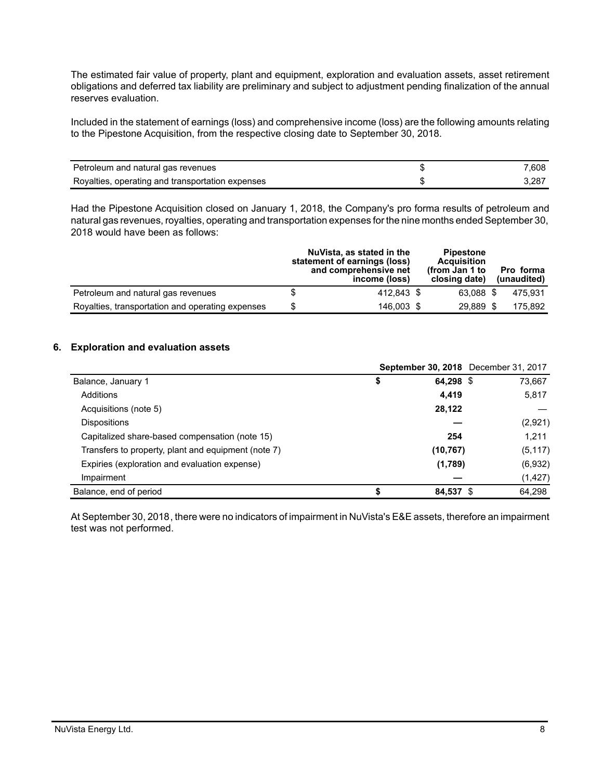The estimated fair value of property, plant and equipment, exploration and evaluation assets, asset retirement obligations and deferred tax liability are preliminary and subject to adjustment pending finalization of the annual reserves evaluation.

Included in the statement of earnings (loss) and comprehensive income (loss) are the following amounts relating to the Pipestone Acquisition, from the respective closing date to September 30, 2018.

| Petroleum and natural gas revenues               | 7.608 |
|--------------------------------------------------|-------|
| Royalties, operating and transportation expenses | 3.287 |

Had the Pipestone Acquisition closed on January 1, 2018, the Company's pro forma results of petroleum and natural gas revenues, royalties, operating and transportation expenses for the nine months ended September 30, 2018 would have been as follows:

|                                                  |     | NuVista, as stated in the<br>statement of earnings (loss)<br>and comprehensive net<br>income (loss) | <b>Pipestone</b><br><b>Acquisition</b><br>(from Jan 1 to<br>closing date) | <b>Pro</b> forma<br>(unaudited) |
|--------------------------------------------------|-----|-----------------------------------------------------------------------------------------------------|---------------------------------------------------------------------------|---------------------------------|
| Petroleum and natural gas revenues               |     | 412.843 \$                                                                                          | 63.088 \$                                                                 | 475.931                         |
| Royalties, transportation and operating expenses | \$. | 146,003 \$                                                                                          | 29.889 \$                                                                 | 175.892                         |

## **6. Exploration and evaluation assets**

|                                                     |                 | September 30, 2018 December 31, 2017 |
|-----------------------------------------------------|-----------------|--------------------------------------|
| Balance, January 1                                  | \$<br>64,298 \$ | 73,667                               |
| Additions                                           | 4.419           | 5,817                                |
| Acquisitions (note 5)                               | 28,122          |                                      |
| <b>Dispositions</b>                                 |                 | (2,921)                              |
| Capitalized share-based compensation (note 15)      | 254             | 1.211                                |
| Transfers to property, plant and equipment (note 7) | (10, 767)       | (5, 117)                             |
| Expiries (exploration and evaluation expense)       | (1,789)         | (6,932)                              |
| Impairment                                          |                 | (1, 427)                             |
| Balance, end of period                              | 84,537 \$       | 64.298                               |

At September 30, 2018, there were no indicators of impairment in NuVista's E&E assets, therefore an impairment test was not performed.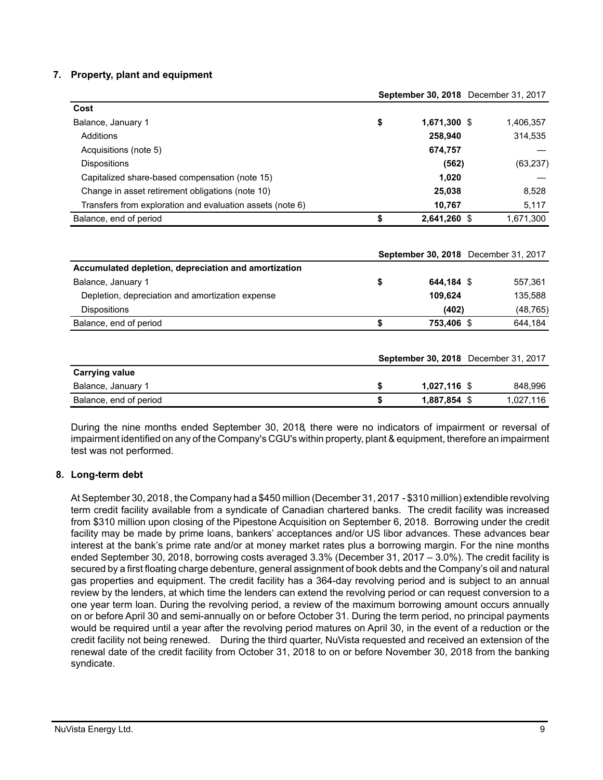## **7. Property, plant and equipment**

|                                                           |                    | September 30, 2018 December 31, 2017 |
|-----------------------------------------------------------|--------------------|--------------------------------------|
| Cost                                                      |                    |                                      |
| Balance, January 1                                        | \$<br>1,671,300 \$ | 1,406,357                            |
| Additions                                                 | 258,940            | 314,535                              |
| Acquisitions (note 5)                                     | 674,757            |                                      |
| <b>Dispositions</b>                                       | (562)              | (63, 237)                            |
| Capitalized share-based compensation (note 15)            | 1,020              |                                      |
| Change in asset retirement obligations (note 10)          | 25,038             | 8,528                                |
| Transfers from exploration and evaluation assets (note 6) | 10,767             | 5,117                                |
| Balance, end of period                                    | \$<br>2,641,260 \$ | 1,671,300                            |
|                                                           |                    |                                      |
|                                                           |                    | September 30, 2018 December 31, 2017 |
| Accumulated depletion, depreciation and amortization      |                    |                                      |
| Balance, January 1                                        | \$<br>644,184 \$   | 557,361                              |
| Depletion, depreciation and amortization expense          | 109,624            | 135,588                              |
| <b>Dispositions</b>                                       | (402)              | (48, 765)                            |
| Balance, end of period                                    | \$<br>753,406 \$   | 644,184                              |
|                                                           |                    |                                      |
|                                                           |                    | September 30, 2018 December 31, 2017 |
| <b>Carrying value</b>                                     |                    |                                      |
| Balance, January 1                                        | \$<br>1,027,116 \$ | 848,996                              |
| Balance, end of period                                    | \$<br>1,887,854 \$ | 1,027,116                            |
|                                                           |                    |                                      |

During the nine months ended September 30, 2018, there were no indicators of impairment or reversal of impairment identified on any of the Company's CGU's within property, plant & equipment, therefore an impairment test was not performed.

# **8. Long-term debt**

At September 30, 2018, the Company had a \$450 million (December 31, 2017 - \$310 million) extendible revolving term credit facility available from a syndicate of Canadian chartered banks. The credit facility was increased from \$310 million upon closing of the Pipestone Acquisition on September 6, 2018. Borrowing under the credit facility may be made by prime loans, bankers' acceptances and/or US libor advances. These advances bear interest at the bank's prime rate and/or at money market rates plus a borrowing margin. For the nine months ended September 30, 2018, borrowing costs averaged 3.3% (December 31, 2017 – 3.0%). The credit facility is secured by a first floating charge debenture, general assignment of book debts and the Company's oil and natural gas properties and equipment. The credit facility has a 364-day revolving period and is subject to an annual review by the lenders, at which time the lenders can extend the revolving period or can request conversion to a one year term loan. During the revolving period, a review of the maximum borrowing amount occurs annually on or before April 30 and semi-annually on or before October 31. During the term period, no principal payments would be required until a year after the revolving period matures on April 30, in the event of a reduction or the credit facility not being renewed. During the third quarter, NuVista requested and received an extension of the renewal date of the credit facility from October 31, 2018 to on or before November 30, 2018 from the banking syndicate.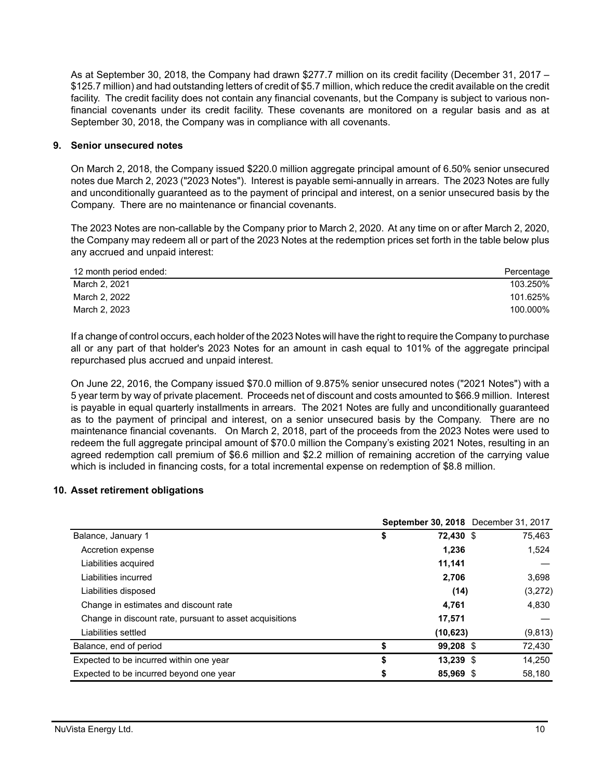As at September 30, 2018, the Company had drawn \$277.7 million on its credit facility (December 31, 2017 – \$125.7 million) and had outstanding letters of credit of \$5.7 million, which reduce the credit available on the credit facility. The credit facility does not contain any financial covenants, but the Company is subject to various nonfinancial covenants under its credit facility. These covenants are monitored on a regular basis and as at September 30, 2018, the Company was in compliance with all covenants.

## **9. Senior unsecured notes**

On March 2, 2018, the Company issued \$220.0 million aggregate principal amount of 6.50% senior unsecured notes due March 2, 2023 ("2023 Notes"). Interest is payable semi-annually in arrears. The 2023 Notes are fully and unconditionally guaranteed as to the payment of principal and interest, on a senior unsecured basis by the Company. There are no maintenance or financial covenants.

The 2023 Notes are non-callable by the Company prior to March 2, 2020. At any time on or after March 2, 2020, the Company may redeem all or part of the 2023 Notes at the redemption prices set forth in the table below plus any accrued and unpaid interest:

| 12 month period ended: | Percentage |
|------------------------|------------|
| March 2, 2021          | 103.250%   |
| March 2, 2022          | 101.625%   |
| March 2, 2023          | 100.000%   |

If a change of control occurs, each holder of the 2023 Notes will have the right to require the Company to purchase all or any part of that holder's 2023 Notes for an amount in cash equal to 101% of the aggregate principal repurchased plus accrued and unpaid interest.

On June 22, 2016, the Company issued \$70.0 million of 9.875% senior unsecured notes ("2021 Notes") with a 5 year term by way of private placement. Proceeds net of discount and costs amounted to \$66.9 million. Interest is payable in equal quarterly installments in arrears. The 2021 Notes are fully and unconditionally guaranteed as to the payment of principal and interest, on a senior unsecured basis by the Company. There are no maintenance financial covenants. On March 2, 2018, part of the proceeds from the 2023 Notes were used to redeem the full aggregate principal amount of \$70.0 million the Company's existing 2021 Notes, resulting in an agreed redemption call premium of \$6.6 million and \$2.2 million of remaining accretion of the carrying value which is included in financing costs, for a total incremental expense on redemption of \$8.8 million.

## **10. Asset retirement obligations**

|                                                         | September 30, 2018 December 31, 2017 |          |
|---------------------------------------------------------|--------------------------------------|----------|
| Balance, January 1                                      | \$<br>72,430 \$                      | 75,463   |
| Accretion expense                                       | 1.236                                | 1,524    |
| Liabilities acquired                                    | 11,141                               |          |
| Liabilities incurred                                    | 2,706                                | 3,698    |
| Liabilities disposed                                    | (14)                                 | (3,272)  |
| Change in estimates and discount rate                   | 4.761                                | 4,830    |
| Change in discount rate, pursuant to asset acquisitions | 17,571                               |          |
| Liabilities settled                                     | (10, 623)                            | (9, 813) |
| Balance, end of period                                  | 99,208 \$                            | 72,430   |
| Expected to be incurred within one year                 | \$<br>$13,239$ \$                    | 14,250   |
| Expected to be incurred beyond one year                 | \$<br>85,969 \$                      | 58,180   |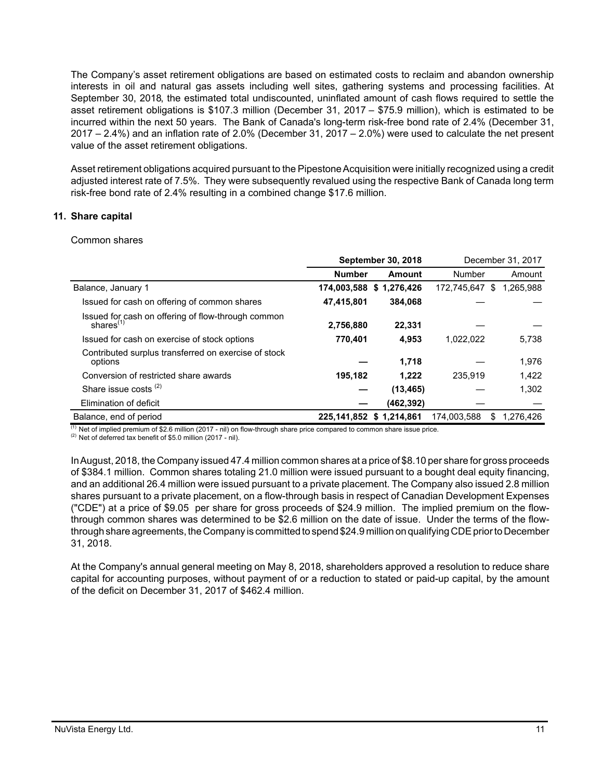The Company's asset retirement obligations are based on estimated costs to reclaim and abandon ownership interests in oil and natural gas assets including well sites, gathering systems and processing facilities. At September 30, 2018, the estimated total undiscounted, uninflated amount of cash flows required to settle the asset retirement obligations is \$107.3 million (December 31, 2017 – \$75.9 million), which is estimated to be incurred within the next 50 years. The Bank of Canada's long-term risk-free bond rate of 2.4% (December 31, 2017 – 2.4%) and an inflation rate of 2.0% (December 31, 2017 – 2.0%) were used to calculate the net present value of the asset retirement obligations.

Asset retirement obligations acquired pursuant to the Pipestone Acquisition were initially recognized using a credit adjusted interest rate of 7.5%. They were subsequently revalued using the respective Bank of Canada long term risk-free bond rate of 2.4% resulting in a combined change \$17.6 million.

# **11. Share capital**

Common shares

|                                                                             | <b>September 30, 2018</b> |                          |             | December 31, 2017 |  |
|-----------------------------------------------------------------------------|---------------------------|--------------------------|-------------|-------------------|--|
|                                                                             | <b>Number</b>             | Amount                   | Number      | Amount            |  |
| Balance, January 1                                                          |                           | 174,003,588 \$1,276,426  | 172,745,647 | 1,265,988<br>\$   |  |
| Issued for cash on offering of common shares                                | 47,415,801                | 384.068                  |             |                   |  |
| Issued for cash on offering of flow-through common<br>shares <sup>(1)</sup> | 2,756,880                 | 22.331                   |             |                   |  |
| Issued for cash on exercise of stock options                                | 770,401                   | 4,953                    | 1,022,022   | 5,738             |  |
| Contributed surplus transferred on exercise of stock<br>options             |                           | 1,718                    |             | 1,976             |  |
| Conversion of restricted share awards                                       | 195,182                   | 1.222                    | 235.919     | 1.422             |  |
| Share issue costs $(2)$                                                     |                           | (13, 465)                |             | 1,302             |  |
| Elimination of deficit                                                      |                           | (462, 392)               |             |                   |  |
| Balance, end of period                                                      |                           | 225,141,852 \$ 1,214,861 | 174.003.588 | 1.276.426<br>S    |  |

 $<sup>(1)</sup>$  Net of implied premium of \$2.6 million (2017 - nil) on flow-through share price compared to common share issue price.</sup>

 $(2)$  Net of deferred tax benefit of \$5.0 million (2017 - nil).

In August, 2018, the Company issued 47.4 million common shares at a price of \$8.10 per share for gross proceeds of \$384.1 million. Common shares totaling 21.0 million were issued pursuant to a bought deal equity financing, and an additional 26.4 million were issued pursuant to a private placement. The Company also issued 2.8 million shares pursuant to a private placement, on a flow-through basis in respect of Canadian Development Expenses ("CDE") at a price of \$9.05 per share for gross proceeds of \$24.9 million. The implied premium on the flowthrough common shares was determined to be \$2.6 million on the date of issue. Under the terms of the flowthrough share agreements, the Company is committed to spend \$24.9 million on qualifying CDE prior to December 31, 2018.

At the Company's annual general meeting on May 8, 2018, shareholders approved a resolution to reduce share capital for accounting purposes, without payment of or a reduction to stated or paid-up capital, by the amount of the deficit on December 31, 2017 of \$462.4 million.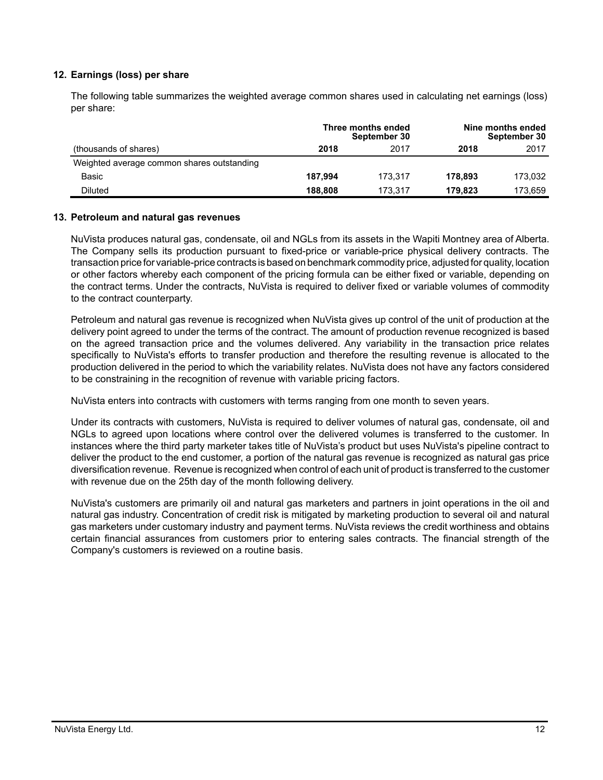## **12. Earnings (loss) per share**

The following table summarizes the weighted average common shares used in calculating net earnings (loss) per share:

|                                            | Three months ended<br>September 30 |         |         | Nine months ended<br>September 30 |
|--------------------------------------------|------------------------------------|---------|---------|-----------------------------------|
| (thousands of shares)                      | 2018                               | 2017    | 2018    | 2017                              |
| Weighted average common shares outstanding |                                    |         |         |                                   |
| Basic                                      | 187.994                            | 173.317 | 178.893 | 173.032                           |
| <b>Diluted</b>                             | 188.808                            | 173.317 | 179.823 | 173.659                           |

#### **13. Petroleum and natural gas revenues**

NuVista produces natural gas, condensate, oil and NGLs from its assets in the Wapiti Montney area of Alberta. The Company sells its production pursuant to fixed-price or variable-price physical delivery contracts. The transaction price for variable-price contracts is based on benchmark commodity price, adjusted for quality, location or other factors whereby each component of the pricing formula can be either fixed or variable, depending on the contract terms. Under the contracts, NuVista is required to deliver fixed or variable volumes of commodity to the contract counterparty.

Petroleum and natural gas revenue is recognized when NuVista gives up control of the unit of production at the delivery point agreed to under the terms of the contract. The amount of production revenue recognized is based on the agreed transaction price and the volumes delivered. Any variability in the transaction price relates specifically to NuVista's efforts to transfer production and therefore the resulting revenue is allocated to the production delivered in the period to which the variability relates. NuVista does not have any factors considered to be constraining in the recognition of revenue with variable pricing factors.

NuVista enters into contracts with customers with terms ranging from one month to seven years.

Under its contracts with customers, NuVista is required to deliver volumes of natural gas, condensate, oil and NGLs to agreed upon locations where control over the delivered volumes is transferred to the customer. In instances where the third party marketer takes title of NuVista's product but uses NuVista's pipeline contract to deliver the product to the end customer, a portion of the natural gas revenue is recognized as natural gas price diversification revenue. Revenue is recognized when control of each unit of product is transferred to the customer with revenue due on the 25th day of the month following delivery.

NuVista's customers are primarily oil and natural gas marketers and partners in joint operations in the oil and natural gas industry. Concentration of credit risk is mitigated by marketing production to several oil and natural gas marketers under customary industry and payment terms. NuVista reviews the credit worthiness and obtains certain financial assurances from customers prior to entering sales contracts. The financial strength of the Company's customers is reviewed on a routine basis.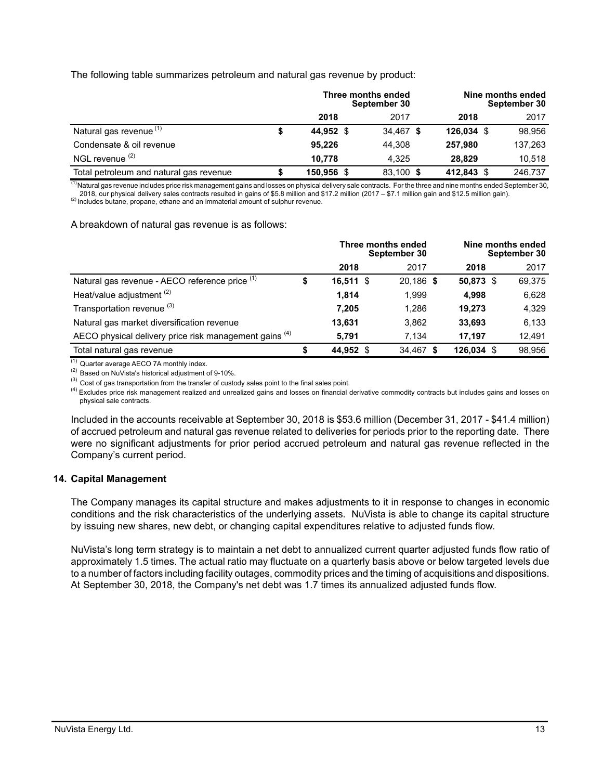The following table summarizes petroleum and natural gas revenue by product:

|                                         |  | Three months ended<br>September 30 |           |              |         |  | Nine months ended<br>September 30 |
|-----------------------------------------|--|------------------------------------|-----------|--------------|---------|--|-----------------------------------|
|                                         |  | 2018                               | 2017      | 2018         | 2017    |  |                                   |
| Natural gas revenue <sup>(1)</sup>      |  | 44,952 \$                          | 34,467 \$ | $126,034$ \$ | 98,956  |  |                                   |
| Condensate & oil revenue                |  | 95.226                             | 44.308    | 257.980      | 137,263 |  |                                   |
| NGL revenue <sup>(2)</sup>              |  | 10.778                             | 4.325     | 28.829       | 10.518  |  |                                   |
| Total petroleum and natural gas revenue |  | 150,956 \$                         | 83,100 \$ | 412,843 \$   | 246,737 |  |                                   |

 $<sup>(1)</sup>$  Natural gas revenue includes price risk management gains and losses on physical delivery sale contracts. For the three and nine months ended September 30,</sup> 2018, our physical delivery sales contracts resulted in gains of \$5.8 million and \$17.2 million (2017 – \$7.1 million gain and \$12.5 million gain).

<sup>(2)</sup> Includes butane, propane, ethane and an immaterial amount of sulphur revenue.

A breakdown of natural gas revenue is as follows:

|                                                        |    | Three months ended<br>September 30 |           |   |              | Nine months ended<br>September 30 |  |
|--------------------------------------------------------|----|------------------------------------|-----------|---|--------------|-----------------------------------|--|
|                                                        |    | 2018                               | 2017      |   | 2018         | 2017                              |  |
| Natural gas revenue - AECO reference price (1)         | \$ | $16,511$ \$                        | 20.186 \$ |   | 50,873 \$    | 69,375                            |  |
| Heat/value adjustment <sup>(2)</sup>                   |    | 1.814                              | 1,999     |   | 4.998        | 6,628                             |  |
| Transportation revenue (3)                             |    | 7.205                              | 1,286     |   | 19.273       | 4,329                             |  |
| Natural gas market diversification revenue             |    | 13.631                             | 3,862     |   | 33,693       | 6,133                             |  |
| AECO physical delivery price risk management gains (4) |    | 5.791                              | 7.134     |   | 17.197       | 12,491                            |  |
| Total natural gas revenue                              | 5  | 44,952 \$                          | 34,467    | S | $126,034$ \$ | 98,956                            |  |

(1) Quarter average AECO 7A monthly index.

(2) Based on NuVista's historical adjustment of 9-10%.

(3) Cost of gas transportation from the transfer of custody sales point to the final sales point.

<sup>(4)</sup> Excludes price risk management realized and unrealized gains and losses on financial derivative commodity contracts but includes gains and losses on physical sale contracts.

Included in the accounts receivable at September 30, 2018 is \$53.6 million (December 31, 2017 - \$41.4 million) of accrued petroleum and natural gas revenue related to deliveries for periods prior to the reporting date. There were no significant adjustments for prior period accrued petroleum and natural gas revenue reflected in the Company's current period.

#### **14. Capital Management**

The Company manages its capital structure and makes adjustments to it in response to changes in economic conditions and the risk characteristics of the underlying assets. NuVista is able to change its capital structure by issuing new shares, new debt, or changing capital expenditures relative to adjusted funds flow.

NuVista's long term strategy is to maintain a net debt to annualized current quarter adjusted funds flow ratio of approximately 1.5 times. The actual ratio may fluctuate on a quarterly basis above or below targeted levels due to a number of factors including facility outages, commodity prices and the timing of acquisitions and dispositions. At September 30, 2018, the Company's net debt was 1.7 times its annualized adjusted funds flow.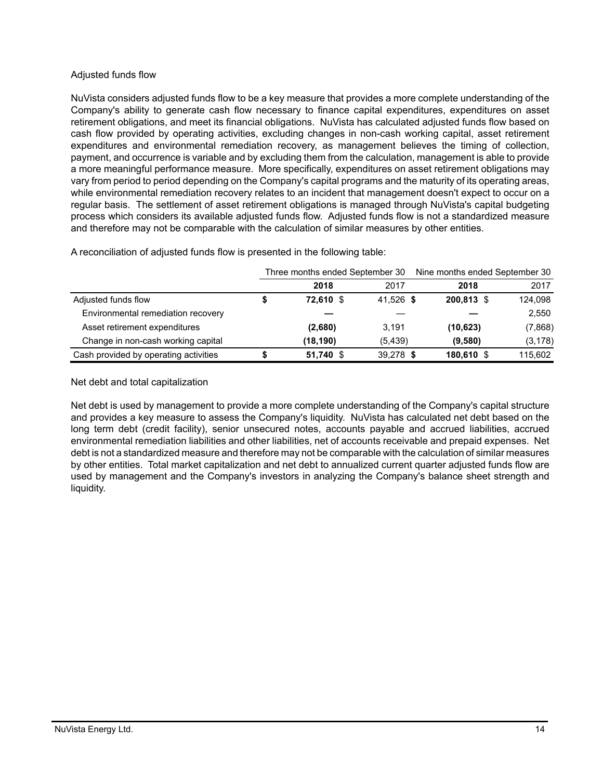## Adjusted funds flow

NuVista considers adjusted funds flow to be a key measure that provides a more complete understanding of the Company's ability to generate cash flow necessary to finance capital expenditures, expenditures on asset retirement obligations, and meet its financial obligations. NuVista has calculated adjusted funds flow based on cash flow provided by operating activities, excluding changes in non-cash working capital, asset retirement expenditures and environmental remediation recovery, as management believes the timing of collection, payment, and occurrence is variable and by excluding them from the calculation, management is able to provide a more meaningful performance measure. More specifically, expenditures on asset retirement obligations may vary from period to period depending on the Company's capital programs and the maturity of its operating areas, while environmental remediation recovery relates to an incident that management doesn't expect to occur on a regular basis. The settlement of asset retirement obligations is managed through NuVista's capital budgeting process which considers its available adjusted funds flow. Adjusted funds flow is not a standardized measure and therefore may not be comparable with the calculation of similar measures by other entities.

A reconciliation of adjusted funds flow is presented in the following table:

|                                       | Three months ended September 30 |             | Nine months ended September 30 |            |          |
|---------------------------------------|---------------------------------|-------------|--------------------------------|------------|----------|
|                                       |                                 | 2018        | 2017                           | 2018       | 2017     |
| Adjusted funds flow                   |                                 | 72.610 \$   | 41,526 \$                      | 200,813 \$ | 124,098  |
| Environmental remediation recovery    |                                 |             |                                |            | 2,550    |
| Asset retirement expenditures         |                                 | (2,680)     | 3.191                          | (10, 623)  | (7,868)  |
| Change in non-cash working capital    |                                 | (18,190)    | (5, 439)                       | (9,580)    | (3, 178) |
| Cash provided by operating activities |                                 | $51,740$ \$ | 39,278 \$                      | 180,610 \$ | 115,602  |

Net debt and total capitalization

Net debt is used by management to provide a more complete understanding of the Company's capital structure and provides a key measure to assess the Company's liquidity. NuVista has calculated net debt based on the long term debt (credit facility), senior unsecured notes, accounts payable and accrued liabilities, accrued environmental remediation liabilities and other liabilities, net of accounts receivable and prepaid expenses. Net debt is not a standardized measure and therefore may not be comparable with the calculation of similar measures by other entities. Total market capitalization and net debt to annualized current quarter adjusted funds flow are used by management and the Company's investors in analyzing the Company's balance sheet strength and liquidity.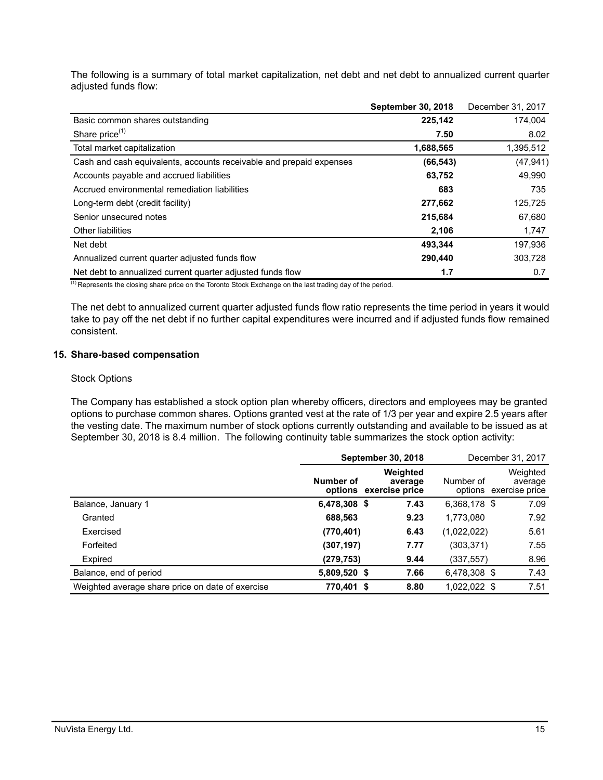The following is a summary of total market capitalization, net debt and net debt to annualized current quarter adjusted funds flow:

|                                                                     | <b>September 30, 2018</b> | December 31, 2017 |
|---------------------------------------------------------------------|---------------------------|-------------------|
| Basic common shares outstanding                                     | 225,142                   | 174,004           |
| Share price <sup>(1)</sup>                                          | 7.50                      | 8.02              |
| Total market capitalization                                         | 1,688,565                 | 1,395,512         |
| Cash and cash equivalents, accounts receivable and prepaid expenses | (66, 543)                 | (47, 941)         |
| Accounts payable and accrued liabilities                            | 63,752                    | 49,990            |
| Accrued environmental remediation liabilities                       | 683                       | 735               |
| Long-term debt (credit facility)                                    | 277,662                   | 125,725           |
| Senior unsecured notes                                              | 215,684                   | 67,680            |
| <b>Other liabilities</b>                                            | 2,106                     | 1,747             |
| Net debt                                                            | 493,344                   | 197,936           |
| Annualized current quarter adjusted funds flow                      | 290.440                   | 303,728           |
| Net debt to annualized current quarter adjusted funds flow          | 1.7                       | 0.7               |

 $(1)$  Represents the closing share price on the Toronto Stock Exchange on the last trading day of the period.

The net debt to annualized current quarter adjusted funds flow ratio represents the time period in years it would take to pay off the net debt if no further capital expenditures were incurred and if adjusted funds flow remained consistent.

#### **15. Share-based compensation**

#### Stock Options

The Company has established a stock option plan whereby officers, directors and employees may be granted options to purchase common shares. Options granted vest at the rate of 1/3 per year and expire 2.5 years after the vesting date. The maximum number of stock options currently outstanding and available to be issued as at September 30, 2018 is 8.4 million. The following continuity table summarizes the stock option activity:

|                                                  | <b>September 30, 2018</b> |                                               |              | December 31, 2017                             |
|--------------------------------------------------|---------------------------|-----------------------------------------------|--------------|-----------------------------------------------|
|                                                  | Number of                 | Weighted<br>average<br>options exercise price | Number of    | Weighted<br>average<br>options exercise price |
| Balance, January 1                               | 6,478,308 \$              | 7.43                                          | 6,368,178 \$ | 7.09                                          |
| Granted                                          | 688,563                   | 9.23                                          | 1,773,080    | 7.92                                          |
| Exercised                                        | (770, 401)                | 6.43                                          | (1,022,022)  | 5.61                                          |
| Forfeited                                        | (307, 197)                | 7.77                                          | (303,371)    | 7.55                                          |
| Expired                                          | (279,753)                 | 9.44                                          | (337,557)    | 8.96                                          |
| Balance, end of period                           | 5,809,520 \$              | 7.66                                          | 6,478,308 \$ | 7.43                                          |
| Weighted average share price on date of exercise | 770,401 \$                | 8.80                                          | 1,022,022 \$ | 7.51                                          |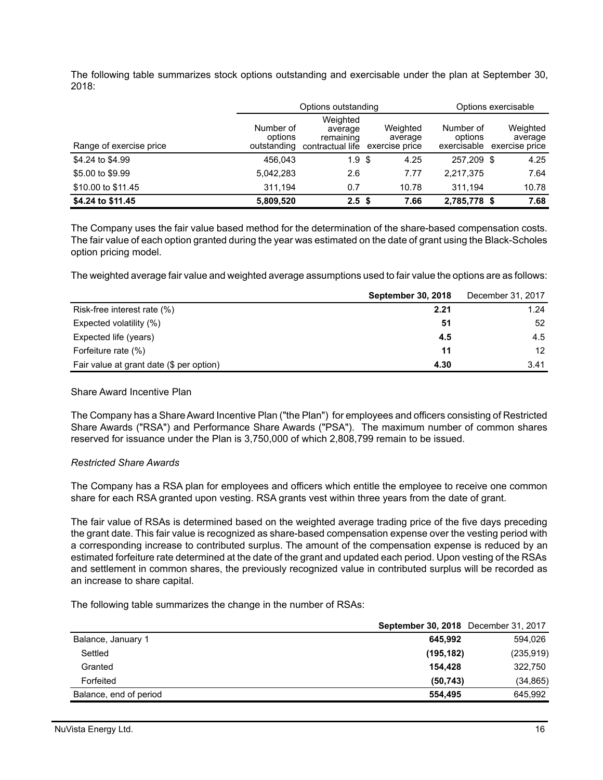The following table summarizes stock options outstanding and exercisable under the plan at September 30, 2018:

|                         |                                     | Options outstanding                                                 |                     |                                     | Options exercisable                   |
|-------------------------|-------------------------------------|---------------------------------------------------------------------|---------------------|-------------------------------------|---------------------------------------|
| Range of exercise price | Number of<br>options<br>outstanding | Weighted<br>average<br>remaining<br>contractual life exercise price | Weighted<br>average | Number of<br>options<br>exercisable | Weighted<br>average<br>exercise price |
| \$4.24 to \$4.99        | 456.043                             | 1.9                                                                 | - \$<br>4.25        | 257.209 \$                          | 4.25                                  |
| \$5.00 to \$9.99        | 5,042,283                           | 2.6                                                                 | 7.77                | 2,217,375                           | 7.64                                  |
| \$10.00 to \$11.45      | 311.194                             | 0.7                                                                 | 10.78               | 311.194                             | 10.78                                 |
| \$4.24 to \$11.45       | 5,809,520                           | 2.5 <sup>5</sup>                                                    | 7.66                | 2,785,778 \$                        | 7.68                                  |

The Company uses the fair value based method for the determination of the share-based compensation costs. The fair value of each option granted during the year was estimated on the date of grant using the Black-Scholes option pricing model.

The weighted average fair value and weighted average assumptions used to fair value the options are as follows:

|                                          | <b>September 30, 2018</b> | December 31, 2017 |
|------------------------------------------|---------------------------|-------------------|
| Risk-free interest rate (%)              | 2.21                      | 1.24              |
| Expected volatility (%)                  | 51                        | 52                |
| Expected life (years)                    | 4.5                       | 4.5               |
| Forfeiture rate (%)                      | 11                        | 12 <sup>2</sup>   |
| Fair value at grant date (\$ per option) | 4.30                      | 3.41              |

#### Share Award Incentive Plan

The Company has a Share Award Incentive Plan ("the Plan") for employees and officers consisting of Restricted Share Awards ("RSA") and Performance Share Awards ("PSA"). The maximum number of common shares reserved for issuance under the Plan is 3,750,000 of which 2,808,799 remain to be issued.

#### *Restricted Share Awards*

The Company has a RSA plan for employees and officers which entitle the employee to receive one common share for each RSA granted upon vesting. RSA grants vest within three years from the date of grant.

The fair value of RSAs is determined based on the weighted average trading price of the five days preceding the grant date. This fair value is recognized as share-based compensation expense over the vesting period with a corresponding increase to contributed surplus. The amount of the compensation expense is reduced by an estimated forfeiture rate determined at the date of the grant and updated each period. Upon vesting of the RSAs and settlement in common shares, the previously recognized value in contributed surplus will be recorded as an increase to share capital.

The following table summarizes the change in the number of RSAs:

|                        | <b>September 30, 2018</b> December 31, 2017 |            |
|------------------------|---------------------------------------------|------------|
| Balance, January 1     | 645.992                                     | 594,026    |
| Settled                | (195, 182)                                  | (235, 919) |
| Granted                | 154.428                                     | 322,750    |
| Forfeited              | (50, 743)                                   | (34, 865)  |
| Balance, end of period | 554,495                                     | 645.992    |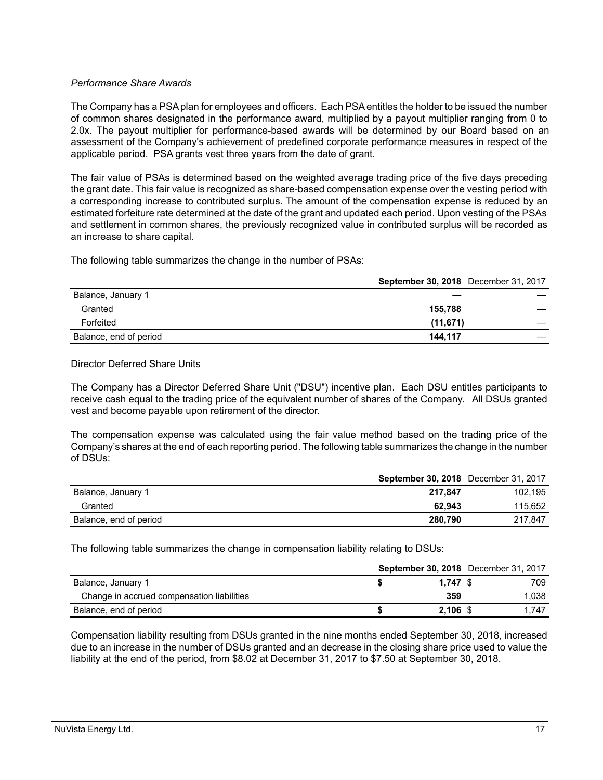## *Performance Share Awards*

The Company has a PSA plan for employees and officers. Each PSA entitles the holder to be issued the number of common shares designated in the performance award, multiplied by a payout multiplier ranging from 0 to 2.0x. The payout multiplier for performance-based awards will be determined by our Board based on an assessment of the Company's achievement of predefined corporate performance measures in respect of the applicable period. PSA grants vest three years from the date of grant.

The fair value of PSAs is determined based on the weighted average trading price of the five days preceding the grant date. This fair value is recognized as share-based compensation expense over the vesting period with a corresponding increase to contributed surplus. The amount of the compensation expense is reduced by an estimated forfeiture rate determined at the date of the grant and updated each period. Upon vesting of the PSAs and settlement in common shares, the previously recognized value in contributed surplus will be recorded as an increase to share capital.

The following table summarizes the change in the number of PSAs:

|                        | <b>September 30, 2018</b> December 31, 2017 |  |
|------------------------|---------------------------------------------|--|
| Balance, January 1     |                                             |  |
| Granted                | 155.788                                     |  |
| Forfeited              | (11,671)                                    |  |
| Balance, end of period | 144.117                                     |  |

## Director Deferred Share Units

The Company has a Director Deferred Share Unit ("DSU") incentive plan. Each DSU entitles participants to receive cash equal to the trading price of the equivalent number of shares of the Company. All DSUs granted vest and become payable upon retirement of the director.

The compensation expense was calculated using the fair value method based on the trading price of the Company's shares at the end of each reporting period. The following table summarizes the change in the number of DSUs:

|                        | <b>September 30, 2018</b> December 31, 2017 |         |
|------------------------|---------------------------------------------|---------|
| Balance, January 1     | 217.847                                     | 102.195 |
| Granted                | 62.943                                      | 115.652 |
| Balance, end of period | 280.790                                     | 217.847 |

The following table summarizes the change in compensation liability relating to DSUs:

|                                            | <b>September 30, 2018</b> December 31, 2017 |            |       |
|--------------------------------------------|---------------------------------------------|------------|-------|
| Balance, January 1                         |                                             | $1.747$ \$ | 709   |
| Change in accrued compensation liabilities |                                             | 359        | 1.038 |
| Balance, end of period                     |                                             | $2.106$ \$ | 1.747 |

Compensation liability resulting from DSUs granted in the nine months ended September 30, 2018, increased due to an increase in the number of DSUs granted and an decrease in the closing share price used to value the liability at the end of the period, from \$8.02 at December 31, 2017 to \$7.50 at September 30, 2018.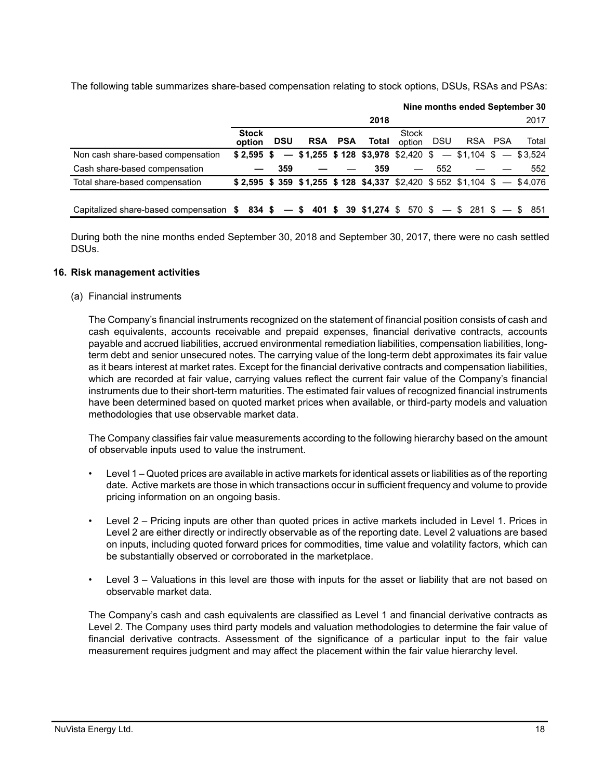The following table summarizes share-based compensation relating to stock options, DSUs, RSAs and PSAs:

|                                                                                                                                           | Nine months ended September 30 |              |  |            |  |  |                |       |                        |     |                                                                        |         |  |       |
|-------------------------------------------------------------------------------------------------------------------------------------------|--------------------------------|--------------|--|------------|--|--|----------------|-------|------------------------|-----|------------------------------------------------------------------------|---------|--|-------|
|                                                                                                                                           |                                |              |  |            |  |  |                | 2018  |                        |     |                                                                        |         |  | 2017  |
|                                                                                                                                           | option                         | <b>Stock</b> |  | <b>DSU</b> |  |  | <b>RSA PSA</b> | Total | <b>Stock</b><br>option | DSU |                                                                        | RSA PSA |  | Total |
| Non cash share-based compensation                                                                                                         | $$2.595$ \$                    |              |  |            |  |  |                |       |                        |     | - \$1,255 \$128 \$3,978 \$2,420 \$ - \$1,104 \$ - \$3,524              |         |  |       |
| Cash share-based compensation                                                                                                             |                                |              |  | 359        |  |  |                | 359   |                        | 552 |                                                                        |         |  | 552   |
| Total share-based compensation                                                                                                            |                                |              |  |            |  |  |                |       |                        |     | \$2,595 \$359 \$1,255 \$128 \$4,337 \$2,420 \$552 \$1,104 \$ - \$4,076 |         |  |       |
|                                                                                                                                           |                                |              |  |            |  |  |                |       |                        |     |                                                                        |         |  |       |
| Capitalized share-based compensation $$34 \text{ } $- $401 \text{ } $39 \text{ } $1,274 \text{ } $570 \text{ } $- $3281 \text{ } $- $361$ |                                |              |  |            |  |  |                |       |                        |     |                                                                        |         |  |       |

During both the nine months ended September 30, 2018 and September 30, 2017, there were no cash settled DSUs.

#### **16. Risk management activities**

(a) Financial instruments

The Company's financial instruments recognized on the statement of financial position consists of cash and cash equivalents, accounts receivable and prepaid expenses, financial derivative contracts, accounts payable and accrued liabilities, accrued environmental remediation liabilities, compensation liabilities, longterm debt and senior unsecured notes. The carrying value of the long-term debt approximates its fair value as it bears interest at market rates. Except for the financial derivative contracts and compensation liabilities, which are recorded at fair value, carrying values reflect the current fair value of the Company's financial instruments due to their short-term maturities. The estimated fair values of recognized financial instruments have been determined based on quoted market prices when available, or third-party models and valuation methodologies that use observable market data.

The Company classifies fair value measurements according to the following hierarchy based on the amount of observable inputs used to value the instrument.

- Level 1 Quoted prices are available in active markets for identical assets or liabilities as of the reporting date. Active markets are those in which transactions occur in sufficient frequency and volume to provide pricing information on an ongoing basis.
- Level 2 Pricing inputs are other than quoted prices in active markets included in Level 1. Prices in Level 2 are either directly or indirectly observable as of the reporting date. Level 2 valuations are based on inputs, including quoted forward prices for commodities, time value and volatility factors, which can be substantially observed or corroborated in the marketplace.
- Level 3 Valuations in this level are those with inputs for the asset or liability that are not based on observable market data.

The Company's cash and cash equivalents are classified as Level 1 and financial derivative contracts as Level 2. The Company uses third party models and valuation methodologies to determine the fair value of financial derivative contracts. Assessment of the significance of a particular input to the fair value measurement requires judgment and may affect the placement within the fair value hierarchy level.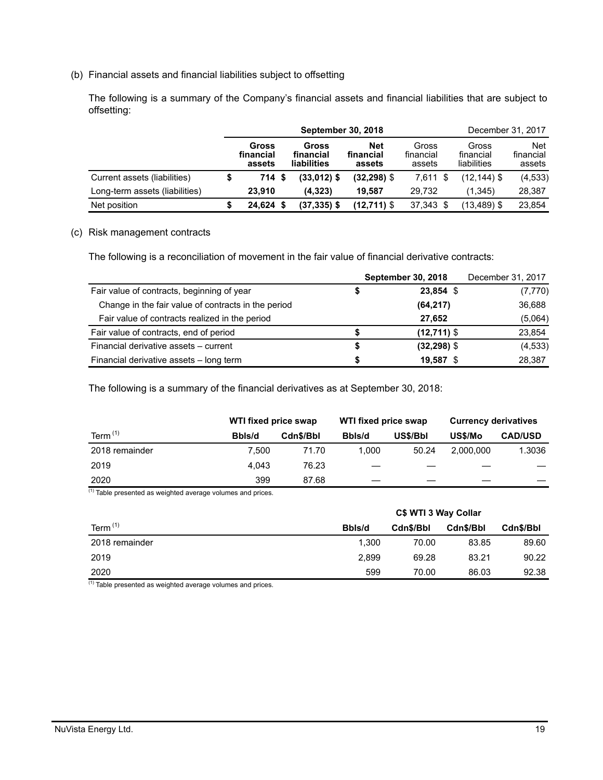(b) Financial assets and financial liabilities subject to offsetting

The following is a summary of the Company's financial assets and financial liabilities that are subject to offsetting:

|                                |                              | <b>September 30, 2018</b>         |                                   | December 31, 2017            |                                   |                                   |
|--------------------------------|------------------------------|-----------------------------------|-----------------------------------|------------------------------|-----------------------------------|-----------------------------------|
|                                | Gross<br>financial<br>assets | Gross<br>financial<br>liabilities | <b>Net</b><br>financial<br>assets | Gross<br>financial<br>assets | Gross<br>financial<br>liabilities | <b>Net</b><br>financial<br>assets |
| Current assets (liabilities)   | 714S                         | $(33,012)$ \$                     | $(32, 298)$ \$                    | 7,611 \$                     | $(12, 144)$ \$                    | (4, 533)                          |
| Long-term assets (liabilities) | 23,910                       | (4.323)                           | 19.587                            | 29.732                       | (1.345)                           | 28,387                            |
| Net position                   | 24.624 \$                    | (37,335) \$                       | $(12,711)$ \$                     | 37,343 \$                    | (13,489) \$                       | 23,854                            |

#### (c) Risk management contracts

The following is a reconciliation of movement in the fair value of financial derivative contracts:

|                                                     | <b>September 30, 2018</b> | December 31, 2017 |
|-----------------------------------------------------|---------------------------|-------------------|
| Fair value of contracts, beginning of year          | 23,854 \$                 | (7, 770)          |
| Change in the fair value of contracts in the period | (64, 217)                 | 36,688            |
| Fair value of contracts realized in the period      | 27.652                    | (5,064)           |
| Fair value of contracts, end of period              | $(12,711)$ \$             | 23,854            |
| Financial derivative assets - current               | $(32, 298)$ \$            | (4, 533)          |
| Financial derivative assets - long term             | 19,587 \$                 | 28,387            |

The following is a summary of the financial derivatives as at September 30, 2018:

|                | WTI fixed price swap |           | WTI fixed price swap |          | <b>Currency derivatives</b> |                |  |
|----------------|----------------------|-----------|----------------------|----------|-----------------------------|----------------|--|
| Term $(1)$     | Bbls/d               | Cdn\$/Bbl | Bbls/d               | US\$/Bbl | US\$/Mo                     | <b>CAD/USD</b> |  |
| 2018 remainder | 7.500                | 71.70     | 1.000                | 50.24    | 2.000.000                   | 1.3036         |  |
| 2019           | 4.043                | 76.23     |                      |          |                             |                |  |
| 2020           | 399                  | 87.68     | __                   |          |                             |                |  |

 $(1)$  Table presented as weighted average volumes and prices.

| Bbls/d | Cdn\$/Bbl | Cdn\$/Bbl | Cdn\$/Bbl            |  |  |  |  |  |  |
|--------|-----------|-----------|----------------------|--|--|--|--|--|--|
| 1.300  | 70.00     | 83.85     | 89.60                |  |  |  |  |  |  |
| 2.899  | 69.28     | 83.21     | 90.22                |  |  |  |  |  |  |
| 599    | 70.00     | 86.03     | 92.38                |  |  |  |  |  |  |
|        |           |           | C\$ WTI 3 Way Collar |  |  |  |  |  |  |

 $(1)$  Table presented as weighted average volumes and prices.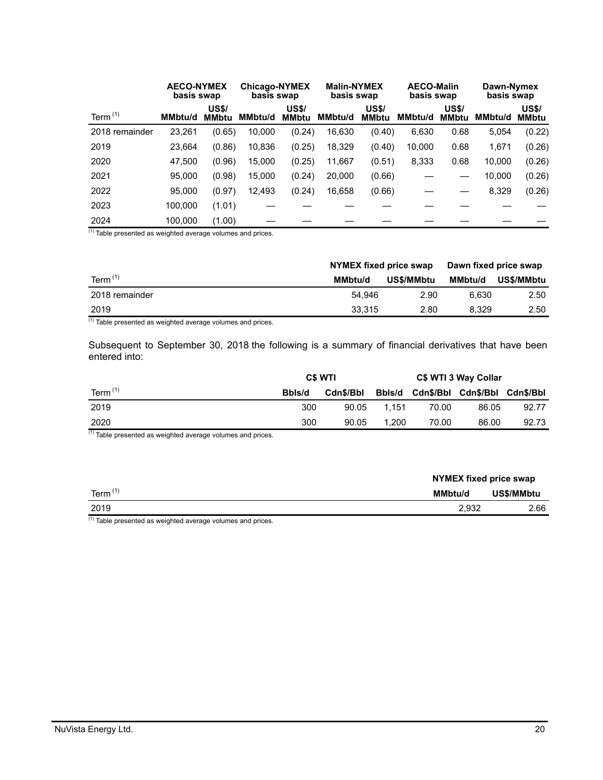|                | <b>AECO-NYMEX</b><br>basis swap |                              | <b>Chicago-NYMEX</b><br>basis swap |                              | <b>Malin-NYMEX</b><br>basis swap |                              | <b>AECO-Malin</b><br>basis swap |                              | Dawn-Nymex<br>basis swap |                              |  |
|----------------|---------------------------------|------------------------------|------------------------------------|------------------------------|----------------------------------|------------------------------|---------------------------------|------------------------------|--------------------------|------------------------------|--|
| Term $(1)$     | <b>MMbtu/d</b>                  | <b>US\$/</b><br><b>MMbtu</b> | <b>MMbtu/d</b>                     | <b>US\$/</b><br><b>MMbtu</b> | <b>MMbtu/d</b>                   | <b>US\$/</b><br><b>MMbtu</b> | <b>MMbtu/d</b>                  | <b>US\$/</b><br><b>MMbtu</b> | MMbtu/d                  | <b>US\$/</b><br><b>MMbtu</b> |  |
| 2018 remainder | 23,261                          | (0.65)                       | 10,000                             | (0.24)                       | 16,630                           | (0.40)                       | 6,630                           | 0.68                         | 5,054                    | (0.22)                       |  |
| 2019           | 23,664                          | (0.86)                       | 10,836                             | (0.25)                       | 18,329                           | (0.40)                       | 10,000                          | 0.68                         | 1,671                    | (0.26)                       |  |
| 2020           | 47,500                          | (0.96)                       | 15,000                             | (0.25)                       | 11,667                           | (0.51)                       | 8,333                           | 0.68                         | 10,000                   | (0.26)                       |  |
| 2021           | 95,000                          | (0.98)                       | 15,000                             | (0.24)                       | 20,000                           | (0.66)                       |                                 |                              | 10,000                   | (0.26)                       |  |
| 2022           | 95,000                          | (0.97)                       | 12,493                             | (0.24)                       | 16,658                           | (0.66)                       |                                 |                              | 8,329                    | (0.26)                       |  |
| 2023           | 100,000                         | (1.01)                       |                                    |                              |                                  |                              |                                 |                              |                          |                              |  |
| 2024           | 100,000                         | (1.00)                       |                                    |                              |                                  |                              |                                 |                              |                          |                              |  |

 $(1)$  Table presented as weighted average volumes and prices.

|                | NYMEX fixed price swap |            | Dawn fixed price swap |                   |  |  |
|----------------|------------------------|------------|-----------------------|-------------------|--|--|
| Term $(1)$     | <b>MMbtu/d</b>         | US\$/MMbtu | <b>MMbtu/d</b>        | <b>US\$/MMbtu</b> |  |  |
| 2018 remainder | 54.946                 | 2.90       | 6.630                 | 2.50              |  |  |
| 2019           | 33.315                 | 2.80       | 8.329                 | 2.50              |  |  |

 $(1)$  Table presented as weighted average volumes and prices.

Subsequent to September 30, 2018 the following is a summary of financial derivatives that have been entered into:

|            | <b>C\$ WTI</b> |           |       | C\$ WTI 3 Way Collar |           |           |
|------------|----------------|-----------|-------|----------------------|-----------|-----------|
| Term $(1)$ | Bbls/d         | Cdn\$/Bbl |       | Bbls/d Cdn\$/Bbl     | Cdn\$/Bbl | Cdn\$/Bbl |
| 2019       | 300            | 90.05     | 1.151 | 70.00                | 86.05     | 92.77     |
| 2020       | 300            | 90.05     | 1.200 | 70.00                | 86.00     | 92.73     |

(1) Table presented as weighted average volumes and prices.

|            | NYMEX fixed price swap |            |  |  |  |  |
|------------|------------------------|------------|--|--|--|--|
| Term $(1)$ | <b>MMbtu/d</b>         | US\$/MMbtu |  |  |  |  |
| 2019       | 2.932                  | 2.66       |  |  |  |  |
|            |                        |            |  |  |  |  |

Table presented as weighted average volumes and prices.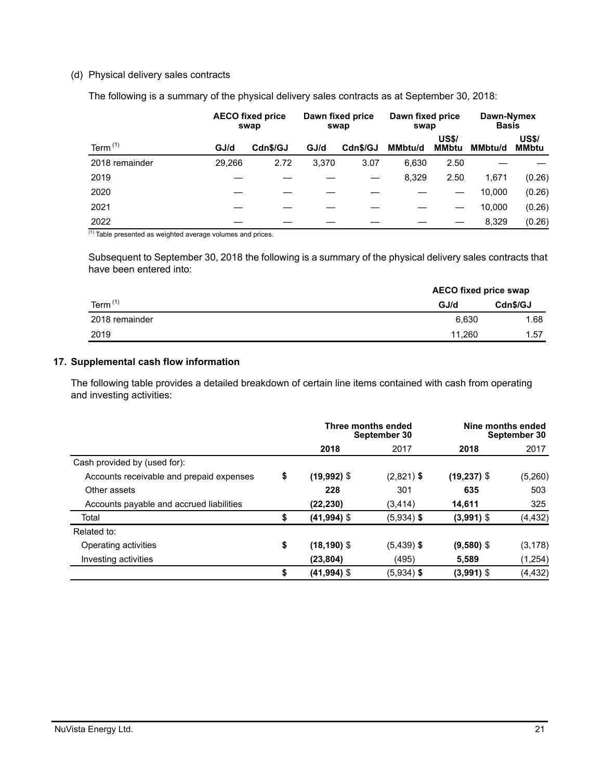#### (d) Physical delivery sales contracts

The following is a summary of the physical delivery sales contracts as at September 30, 2018:

|                | <b>AECO fixed price</b><br>swap |          |       | Dawn fixed price<br>swap | Dawn fixed price<br>swap |                       | Dawn-Nymex<br><b>Basis</b> |                       |  |
|----------------|---------------------------------|----------|-------|--------------------------|--------------------------|-----------------------|----------------------------|-----------------------|--|
| Term $(1)$     | GJ/d                            | Cdn\$/GJ | GJ/d  | Cdn\$/GJ                 | <b>MMbtu/d</b>           | <b>US\$/</b><br>MMbtu | <b>MMbtu/d</b>             | <b>US\$/</b><br>MMbtu |  |
| 2018 remainder | 29.266                          | 2.72     | 3.370 | 3.07                     | 6.630                    | 2.50                  |                            |                       |  |
| 2019           |                                 |          |       |                          | 8,329                    | 2.50                  | 1,671                      | (0.26)                |  |
| 2020           |                                 |          |       |                          |                          |                       | 10.000                     | (0.26)                |  |
| 2021           |                                 |          |       |                          |                          |                       | 10.000                     | (0.26)                |  |
| 2022           |                                 |          |       |                          |                          |                       | 8.329                      | (0.26)                |  |

 $(1)$  Table presented as weighted average volumes and prices.

Subsequent to September 30, 2018 the following is a summary of the physical delivery sales contracts that have been entered into:

|                | <b>AECO fixed price swap</b> |          |  |
|----------------|------------------------------|----------|--|
| Term $(1)$     | GJ/d                         | Cdn\$/GJ |  |
| 2018 remainder | 6.630                        | 1.68     |  |
| 2019           | 11.260                       | 1.57     |  |

#### **17. Supplemental cash flow information**

The following table provides a detailed breakdown of certain line items contained with cash from operating and investing activities:

|                                          |    |                | Three months ended<br>September 30 | Nine months ended<br>September 30 |          |  |
|------------------------------------------|----|----------------|------------------------------------|-----------------------------------|----------|--|
|                                          |    | 2018           | 2017                               | 2018                              | 2017     |  |
| Cash provided by (used for):             |    |                |                                    |                                   |          |  |
| Accounts receivable and prepaid expenses | \$ | $(19,992)$ \$  | $(2,821)$ \$                       | $(19,237)$ \$                     | (5,260)  |  |
| Other assets                             |    | 228            | 301                                | 635                               | 503      |  |
| Accounts payable and accrued liabilities |    | (22, 230)      | (3, 414)                           | 14,611                            | 325      |  |
| Total                                    | S  | (41,994) \$    | (5,934) \$                         | $(3,991)$ \$                      | (4, 432) |  |
| Related to:                              |    |                |                                    |                                   |          |  |
| Operating activities                     | \$ | $(18, 190)$ \$ | $(5,439)$ \$                       | $(9,580)$ \$                      | (3, 178) |  |
| Investing activities                     |    | (23, 804)      | (495)                              | 5,589                             | (1,254)  |  |
|                                          | \$ | $(41,994)$ \$  | $(5,934)$ \$                       | $(3,991)$ \$                      | (4, 432) |  |